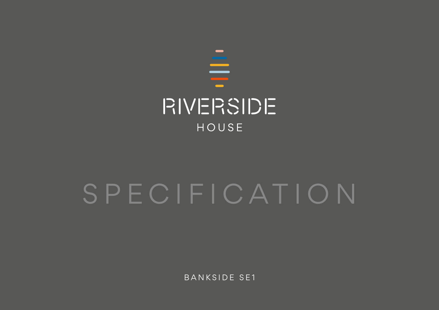

# SPECIFICATION

BANKSIDE SE1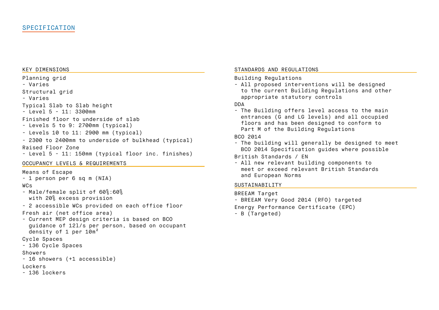#### KEY DIMENSIONS

Planning grid

- Varies

Structural grid

- Varies

Typical Slab to Slab height

- Level 5 - 11: 3300mm

Finished floor to underside of slab

- Levels 5 to 9: 2700mm (typical)
- Levels 10 to 11: 2900 mm (typical)

- 2300 to 2400mm to underside of bulkhead (typical) Raised Floor Zone

- Level 5 - 11: 150mm (typical floor inc. finishes)

## OCCUPANCY LEVELS & REQUIREMENTS

Means of Escape

```
- 1 person per 6 sq m (NIA)
```
# WCs

- Male/female split of 60%:60% with 20% excess provision
- 2 accessible WCs provided on each office floor

Fresh air (net office area)

- Current MEP design criteria is based on BCO guidance of 12l/s per person, based on occupant density of 1 per 10m<sup>2</sup>
- Cycle Spaces

```
- 136 Cycle Spaces
```
## Showers

```
- 16 showers (+1 accessible)
```
# Lockers

- 136 lockers

## STANDARDS AND REGULATIONS

Building Regulations

- All proposed interventions will be designed to the current Building Regulations and other appropriate statutory controls

## DDA

- The Building offers level access to the main entrances (G and LG levels) and all occupied floors and has been designed to conform to Part M of the Building Regulations

## BCO 2014

- The building will generally be designed to meet BCO 2014 Specification guides where possible

British Standards / EN

- All new relevant building components to meet or exceed relevant British Standards and European Norms

## SUSTAINABILITY

BREEAM Target - BREEAM Very Good 2014 (RFO) targeted Energy Performance Certificate (EPC) - B (Targeted)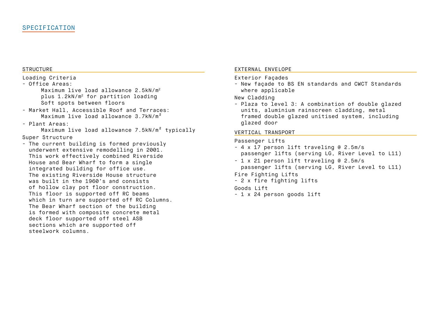#### **STRUCTURE**

## Loading Criteria

- Office Areas: Maximum live load allowance 2.5kN/m<sup>2</sup> plus 1.2kN/m2 for partition loading Soft spots between floors

- Market Hall, Accessible Roof and Terraces: Maximum live load allowance 3.7kN/m<sup>2</sup>
- Plant Areas:

Maximum live load allowance 7.5kN/m² typically

## Super Structure

- The current building is formed previously underwent extensive remodelling in 2001. This work effectively combined Riverside House and Bear Wharf to form a single integrated building for office use. The existing Riverside House structure was built in the 1960's and consists of hollow clay pot floor construction. This floor is supported off RC beams which in turn are supported off RC Columns. The Bear Wharf section of the building is formed with composite concrete metal deck floor supported off steel ASB sections which are supported off steelwork columns.

#### EXTERNAL ENVELOPE

#### Exterior Façades

- New façade to BS EN standards and CWCT Standards where applicable

#### New Cladding

- Plaza to level 3: A combination of double glazed units, aluminium rainscreen cladding, metal framed double glazed unitised system, including glazed door

#### VERTICAL TRANSPORT

#### Passenger Lifts

- 4 x 17 person lift traveling @ 2.5m/s passenger lifts (serving LG, River Level to L11)
- 1 x 21 person lift traveling @ 2.5m/s passenger lifts (serving LG, River Level to L11)

## Fire Fighting Lifts

- 2 x fire fighting lifts

#### Goods Lift

- 1 x 24 person goods lift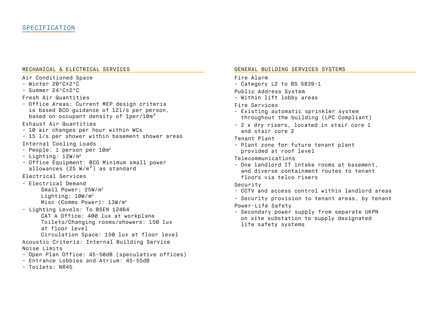#### MECHANICAL & ELECTRICAL SERVICES

- Air Conditioned Space
- Winter 20ºC±2ºC
- Summer 24ºC±2ºC
- Fresh Air Quantities
- Office Areas: Current MEP design criteria is based BCO guidance of 12l/s per person, based on occupant density of 1per/10m<sup>2</sup>
- Exhaust Air Quantities
- 10 air changes per hour within WCs
- 15 l/s per shower within basement shower areas Internal Cooling Loads
- People: 1 person per 10m2
- $-$  Lighting:  $12W/m^2$
- Office Equipment: BCO Minimum small power allowances (25 W/m²) as standard
- Electrical Services
- Electrical Demand Small Power: 25W/m2 Lighting: 10W/m2 Misc (Comms Power): 13W/m2
- Lighting Levels: To BSEN 12464 CAT A Office: 400 lux at workplane Toilets/Changing rooms/showers: 150 lux at floor level Circulation Space: 150 lux at floor level
- Acoustic Criteria: Internal Building Service
- Noise Limits
- Open Plan Office: 45-50dB (speculative offices)
- Entrance Lobbies and Atrium: 45-55dB
- Toilets: NR45

#### GENERAL BUILDING SERVICES SYSTEMS

#### Fire Alarm

- Category L2 to BS 5839-1
- Public Address System
- Within lift lobby areas

## Fire Services

- Existing automatic sprinkler system throughout the building (LPC Compliant)
- 2 x dry risers, located in stair core 1 and stair core 2

Tenant Plant

- Plant zone for future tenant plant provided at roof level
- Telecommunications
- One landlord IT intake rooms at basement, and diverse containment routes to tenant floors via telco risers
- Security
- CCTV and access control within landlord areas
- Security provision to tenant areas, by tenant
- Power-Life Safety
- Secondary power supply from separate UKPN on site substation to supply designated life safety systems